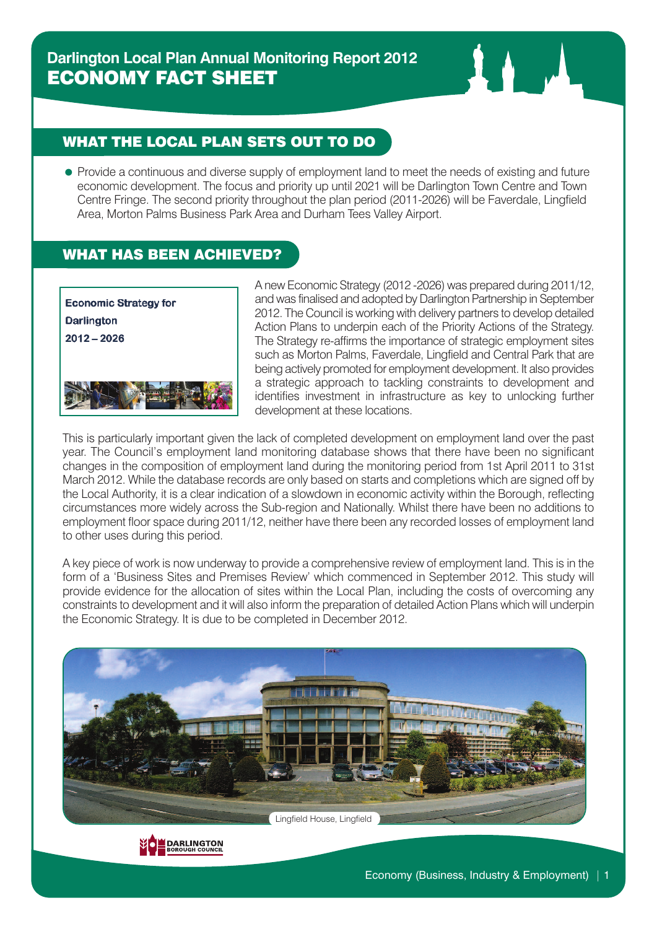# **Darlington Local Plan Annual Monitoring Report 2012** ECONOMY FACT SHEET

## WHAT THE LOCAL PLAN SETS OUT TO DO

• Provide a continuous and diverse supply of employment land to meet the needs of existing and future economic development. The focus and priority up until 2021 will be Darlington Town Centre and Town Centre Fringe. The second priority throughout the plan period (2011-2026) will be Faverdale, Lingfield Area, Morton Palms Business Park Area and Durham Tees Valley Airport.

### WHAT HAS BEEN ACHIEVED?



A new Economic Strategy (2012 -2026) was prepared during 2011/12, andwas finalised and adopted byDarlington Partnership in September 2012. The Council is working with delivery partners to develop detailed Action Plans to underpin each of the Priority Actions of the Strategy. The Strategy re-affirms the importance of strategic employment sites such as Morton Palms, Faverdale, Lingfield and Central Park that are being actively promoted for employment development. It also provides a strategic approach to tackling constraints to development and identifies investment in infrastructure as key to unlocking further development at these locations.

This is particularly important given the lack of completed development on employment land over the past year. The Council's employment land monitoring database shows that there have been no significant changes in the composition of employment land during the monitoring period from 1st April 2011 to 31st March 2012. While the database records are only based on starts and completions which are signed off by the Local Authority, it is a clear indication of a slowdown in economic activity within the Borough, reflecting circumstances more widely across the Sub-region and Nationally. Whilst there have been no additions to employment floor space during 2011/12, neither have there been any recorded losses of employment land to other uses during this period.

A key piece of work is now underway to provide a comprehensive review of employment land. This is in the form of a 'Business Sites and Premises Review' which commenced in September 2012. This study will provide evidence for the allocation of sites within the Local Plan, including the costs of overcoming any constraints to development and it will also inform the preparation of detailed Action Plans which will underpin the Economic Strategy. It is due to be completed in December 2012.



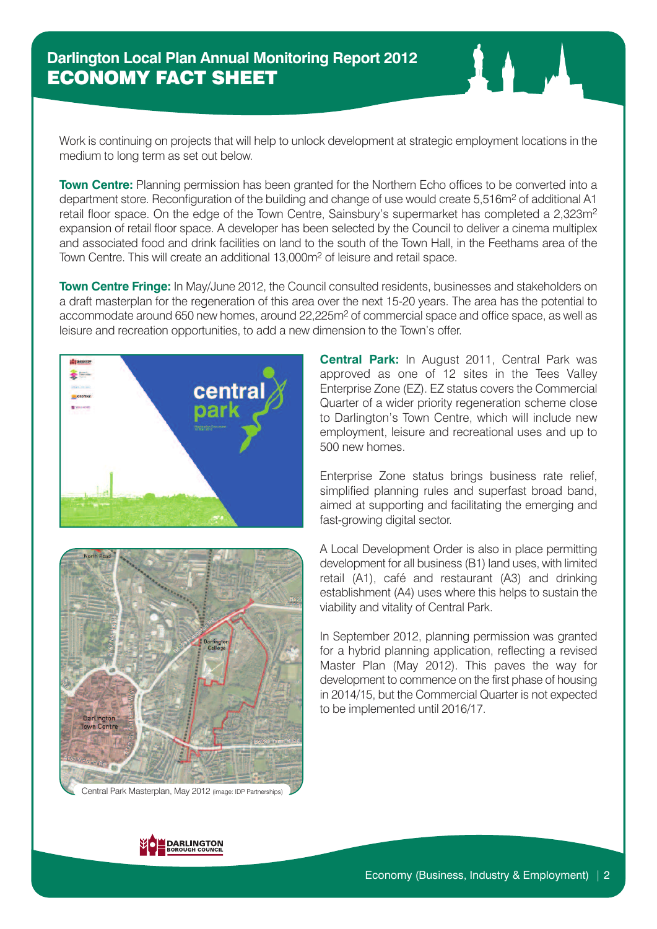Work is continuing on projects that will help to unlock development at strategic employment locations in the medium to long term as set out below.

**Town Centre:** Planning permission has been granted for the Northern Echo offices to be converted into a department store. Reconfiguration of the building and change of use would create 5,516m<sup>2</sup> of additional A1 retail floor space. On the edge of the Town Centre, Sainsbury's supermarket has completed a 2,323m2 expansion of retail floor space. A developer has been selected by the Council to deliver a cinema multiplex and associated food and drink facilities on land to the south of the Town Hall, in the Feethams area of the Town Centre. This will create an additional 13,000m2 of leisure and retail space.

**Town Centre Fringe:** In May/June 2012, the Council consulted residents, businesses and stakeholders on a draft masterplan for the regeneration of this area over the next 15-20 years. The area has the potential to accommodate around 650 new homes, around 22,225m<sup>2</sup> of commercial space and office space, as well as leisure and recreation opportunities, to add a new dimension to the Town's offer.





Central Park Masterplan, May 2012 (image: IDP Partnerships)

**Central Park:** In August 2011, Central Park was approved as one of 12 sites in the Tees Valley Enterprise Zone (EZ). EZ status covers the Commercial Quarter of a wider priority regeneration scheme close to Darlington's Town Centre, which will include new employment, leisure and recreational uses and up to 500 new homes.

Enterprise Zone status brings business rate relief, simplified planning rules and superfast broad band, aimed at supporting and facilitating the emerging and fast-growing digital sector.

A Local Development Order is also in place permitting development for all business (B1) land uses, with limited retail (A1), café and restaurant (A3) and drinking establishment (A4) uses where this helps to sustain the viability and vitality of Central Park.

In September 2012, planning permission was granted for a hybrid planning application, reflecting a revised Master Plan (May 2012). This paves the way for development to commence on the first phase of housing in 2014/15, but the Commercial Quarter is not expected to be implemented until 2016/17.

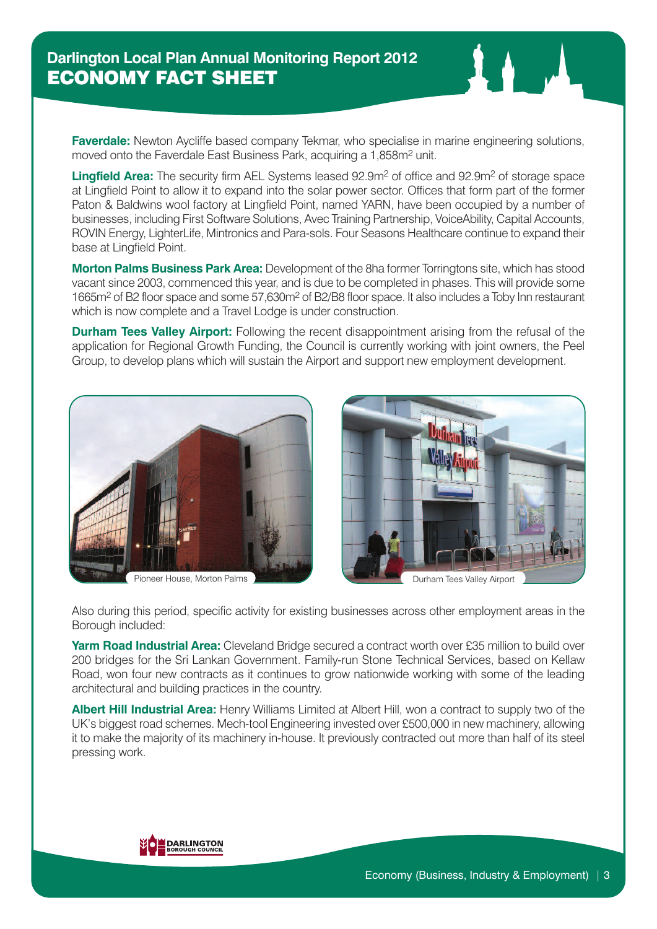**Faverdale:** Newton Aycliffe based company Tekmar, who specialise in marine engineering solutions, moved onto the Faverdale East Business Park, acquiring a 1,858m<sup>2</sup> unit.

**Lingfield Area:** The security firm AEL Systems leased 92.9m<sup>2</sup> of office and 92.9m<sup>2</sup> of storage space at Lingfield Point to allow it to expand into the solar power sector. Offices that form part of the former Paton & Baldwins wool factory at Lingfield Point, named YARN, have been occupied by a number of businesses, including First Software Solutions, Avec Training Partnership, VoiceAbility, Capital Accounts, ROVIN Energy, LighterLife, Mintronics and Para-sols. Four Seasons Healthcare continue to expand their base at Lingfield Point.

**Morton Palms Business Park Area:** Development of the 8ha former Torringtons site, which has stood vacant since 2003, commenced this year, and is due to be completed in phases. This will provide some 1665m2 of B2 floor space and some 57,630m2 of B2/B8 floor space. It also includes a Toby Inn restaurant which is now complete and a Travel Lodge is under construction.

**Durham Tees Valley Airport:** Following the recent disappointment arising from the refusal of the application for Regional Growth Funding, the Council is currently working with joint owners, the Peel Group, to develop plans which will sustain the Airport and support new employment development.



Pioneer House, Morton Palms **Durham Tees Valley Airport** 



Also during this period, specific activity for existing businesses across other employment areas in the Borough included:

**Yarm Road Industrial Area:** Cleveland Bridge secured a contract worth over £35 million to build over 200 bridges for the Sri Lankan Government. Family-run Stone Technical Services, based on Kellaw Road, won four new contracts as it continues to grow nationwide working with some of the leading architectural and building practices in the country.

**Albert Hill Industrial Area:** Henry Williams Limited at Albert Hill, won a contract to supply two of the UK's biggest road schemes. Mech-tool Engineering invested over £500,000 in new machinery, allowing it to make the majority of its machinery in-house. It previously contracted out more than half of its steel pressing work.